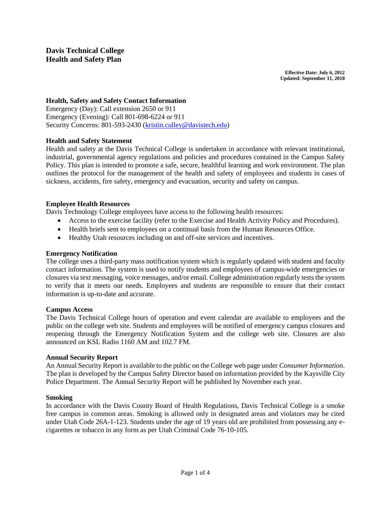**Effective Date: July 6, 2012 Updated: September 11, 2018**

## **Health, Safety and Safety Contact Information**

Emergency (Day): Call extension 2650 or 911 Emergency (Evening): Call 801-698-6224 or 911 Security Concerns: 801-593-2430 [\(kristin.culley@davistech.edu\)](mailto:kristin.culley@davistech.edu)

## **Health and Safety Statement**

Health and safety at the Davis Technical College is undertaken in accordance with relevant institutional, industrial, governmental agency regulations and policies and procedures contained in the Campus Safety Policy. This plan is intended to promote a safe, secure, healthful learning and work environment. The plan outlines the protocol for the management of the health and safety of employees and students in cases of sickness, accidents, fire safety, emergency and evacuation, security and safety on campus.

### **Employee Health Resources**

Davis Technology College employees have access to the following health resources:

- Access to the exercise facility (refer to the Exercise and Health Activity Policy and Procedures).
- Health briefs sent to employees on a continual basis from the Human Resources Office.
- Healthy Utah resources including on and off-site services and incentives.

#### **Emergency Notification**

The college uses a third-party mass notification system which is regularly updated with student and faculty contact information. The system is used to notify students and employees of campus-wide emergencies or closures via text messaging, voice messages, and/or email. College administration regularly tests the system to verify that it meets our needs. Employees and students are responsible to ensure that their contact information is up-to-date and accurate.

#### **Campus Access**

The Davis Technical College hours of operation and event calendar are available to employees and the public on the college web site. Students and employees will be notified of emergency campus closures and reopening through the Emergency Notification System and the college web site. Closures are also announced on KSL Radio 1160 AM and 102.7 FM.

### **Annual Security Report**

An Annual Security Report is available to the public on the College web page under *Consumer Information*. The plan is developed by the Campus Safety Director based on information provided by the Kaysville City Police Department. The Annual Security Report will be published by November each year.

#### **Smoking**

In accordance with the Davis County Board of Health Regulations, Davis Technical College is a smoke free campus in common areas. Smoking is allowed only in designated areas and violators may be cited under Utah Code 26A-1-123. Students under the age of 19 years old are prohibited from possessing any ecigarettes or tobacco in any form as per Utah Criminal Code 76-10-105.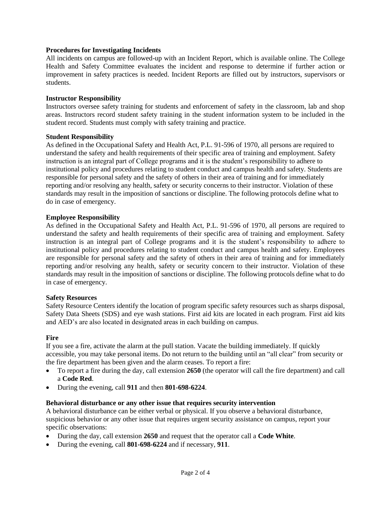### **Procedures for Investigating Incidents**

All incidents on campus are followed-up with an Incident Report, which is available online. The College Health and Safety Committee evaluates the incident and response to determine if further action or improvement in safety practices is needed. Incident Reports are filled out by instructors, supervisors or students.

#### **Instructor Responsibility**

Instructors oversee safety training for students and enforcement of safety in the classroom, lab and shop areas. Instructors record student safety training in the student information system to be included in the student record. Students must comply with safety training and practice.

#### **Student Responsibility**

As defined in the Occupational Safety and Health Act, P.L. 91-596 of 1970, all persons are required to understand the safety and health requirements of their specific area of training and employment. Safety instruction is an integral part of College programs and it is the student's responsibility to adhere to institutional policy and procedures relating to student conduct and campus health and safety. Students are responsible for personal safety and the safety of others in their area of training and for immediately reporting and/or resolving any health, safety or security concerns to their instructor. Violation of these standards may result in the imposition of sanctions or discipline. The following protocols define what to do in case of emergency.

#### **Employee Responsibility**

As defined in the Occupational Safety and Health Act, P.L. 91-596 of 1970, all persons are required to understand the safety and health requirements of their specific area of training and employment. Safety instruction is an integral part of College programs and it is the student's responsibility to adhere to institutional policy and procedures relating to student conduct and campus health and safety. Employees are responsible for personal safety and the safety of others in their area of training and for immediately reporting and/or resolving any health, safety or security concern to their instructor. Violation of these standards may result in the imposition of sanctions or discipline. The following protocols define what to do in case of emergency.

#### **Safety Resources**

Safety Resource Centers identify the location of program specific safety resources such as sharps disposal, Safety Data Sheets (SDS) and eye wash stations. First aid kits are located in each program. First aid kits and AED's are also located in designated areas in each building on campus.

#### **Fire**

If you see a fire, activate the alarm at the pull station. Vacate the building immediately. If quickly accessible, you may take personal items. Do not return to the building until an "all clear" from security or the fire department has been given and the alarm ceases. To report a fire:

- To report a fire during the day, call extension **2650** (the operator will call the fire department) and call a **Code Red**.
- During the evening, call **911** and then **801-698-6224**.

#### **Behavioral disturbance or any other issue that requires security intervention**

A behavioral disturbance can be either verbal or physical. If you observe a behavioral disturbance, suspicious behavior or any other issue that requires urgent security assistance on campus, report your specific observations:

- During the day, call extension **2650** and request that the operator call a **Code White**.
- During the evening, call **801-698-6224** and if necessary, **911**.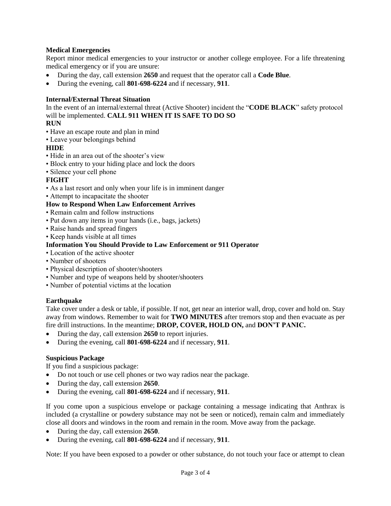## **Medical Emergencies**

Report minor medical emergencies to your instructor or another college employee. For a life threatening medical emergency or if you are unsure:

- During the day, call extension **2650** and request that the operator call a **Code Blue**.
- During the evening, call **801-698-6224** and if necessary, **911**.

### **Internal/External Threat Situation**

In the event of an internal/external threat (Active Shooter) incident the "**CODE BLACK**" safety protocol will be implemented. **CALL 911 WHEN IT IS SAFE TO DO SO**

### **RUN**

- Have an escape route and plan in mind
- Leave your belongings behind

## **HIDE**

- Hide in an area out of the shooter's view
- Block entry to your hiding place and lock the doors
- Silence your cell phone

## **FIGHT**

- As a last resort and only when your life is in imminent danger
- Attempt to incapacitate the shooter

## **How to Respond When Law Enforcement Arrives**

- Remain calm and follow instructions
- Put down any items in your hands (i.e., bags, jackets)
- Raise hands and spread fingers
- Keep hands visible at all times

## **Information You Should Provide to Law Enforcement or 911 Operator**

- Location of the active shooter
- Number of shooters
- Physical description of shooter/shooters
- Number and type of weapons held by shooter/shooters
- Number of potential victims at the location

### **Earthquake**

Take cover under a desk or table, if possible. If not, get near an interior wall, drop, cover and hold on. Stay away from windows. Remember to wait for **TWO MINUTES** after tremors stop and then evacuate as per fire drill instructions. In the meantime; **DROP, COVER, HOLD ON,** and **DON'T PANIC.**

- During the day, call extension **2650** to report injuries.
- During the evening, call **801-698-6224** and if necessary, **911**.

### **Suspicious Package**

If you find a suspicious package:

- Do not touch or use cell phones or two way radios near the package.
- During the day, call extension **2650**.
- During the evening, call **801-698-6224** and if necessary, **911**.

If you come upon a suspicious envelope or package containing a message indicating that Anthrax is included (a crystalline or powdery substance may not be seen or noticed), remain calm and immediately close all doors and windows in the room and remain in the room. Move away from the package.

- During the day, call extension **2650**.
- During the evening, call **801-698-6224** and if necessary, **911**.

Note: If you have been exposed to a powder or other substance, do not touch your face or attempt to clean